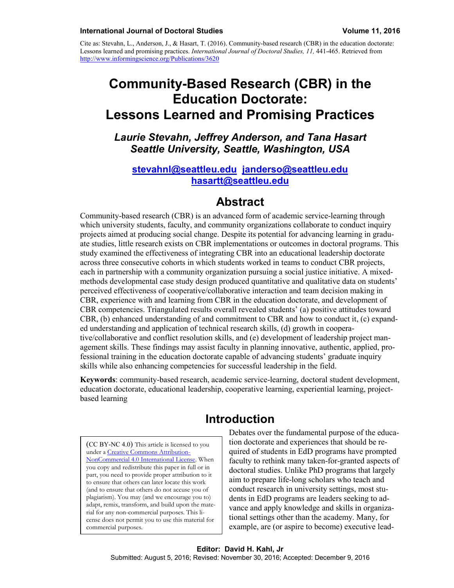Cite as: Stevahn, L., Anderson, J., & Hasart, T. (2016). Community-based research (CBR) in the education doctorate: Lessons learned and promising practices. *International Journal of Doctoral Studies, 11,* 441-465. Retrieved from <http://www.informingscience.org/Publications/3620>

# **Community-Based Research (CBR) in the Education Doctorate: Lessons Learned and Promising Practices**

*Laurie Stevahn, Jeffrey Anderson, and Tana Hasart Seattle University, Seattle, Washington, USA*

#### **[stevahnl@seattleu.edu](mailto:stevahnl@seattleu.edu) [janderso@seattleu.edu](mailto:janderso@seattleu.edu) [hasartt@seattleu.edu](mailto:hasartt@seattleu.edu)**

## **Abstract**

Community-based research (CBR) is an advanced form of academic service-learning through which university students, faculty, and community organizations collaborate to conduct inquiry projects aimed at producing social change. Despite its potential for advancing learning in graduate studies, little research exists on CBR implementations or outcomes in doctoral programs. This study examined the effectiveness of integrating CBR into an educational leadership doctorate across three consecutive cohorts in which students worked in teams to conduct CBR projects, each in partnership with a community organization pursuing a social justice initiative. A mixedmethods developmental case study design produced quantitative and qualitative data on students' perceived effectiveness of cooperative/collaborative interaction and team decision making in CBR, experience with and learning from CBR in the education doctorate, and development of CBR competencies. Triangulated results overall revealed students' (a) positive attitudes toward CBR, (b) enhanced understanding of and commitment to CBR and how to conduct it, (c) expanded understanding and application of technical research skills, (d) growth in cooperative/collaborative and conflict resolution skills, and (e) development of leadership project management skills. These findings may assist faculty in planning innovative, authentic, applied, professional training in the education doctorate capable of advancing students' graduate inquiry skills while also enhancing competencies for successful leadership in the field.

**Keywords**: community-based research, academic service-learning, doctoral student development, education doctorate, educational leadership, cooperative learning, experiential learning, projectbased learning

# **Introduction**

(CC BY-NC 4.0) This article is licensed to you under a [Creative Commons Attribution-](https://creativecommons.org/licenses/by-nc/4.0/)[NonCommercial 4.0 International License.](https://creativecommons.org/licenses/by-nc/4.0/) When you copy and redistribute this paper in full or in part, you need to provide proper attribution to it to ensure that others can later locate this work (and to ensure that others do not accuse you of plagiarism). You may (and we encourage you to) adapt, remix, transform, and build upon the material for any non-commercial purposes. This license does not permit you to use this material for commercial purposes.

Debates over the fundamental purpose of the education doctorate and experiences that should be required of students in EdD programs have prompted faculty to rethink many taken-for-granted aspects of doctoral studies. Unlike PhD programs that largely aim to prepare life-long scholars who teach and conduct research in university settings, most students in EdD programs are leaders seeking to advance and apply knowledge and skills in organizational settings other than the academy. Many, for example, are (or aspire to become) executive lead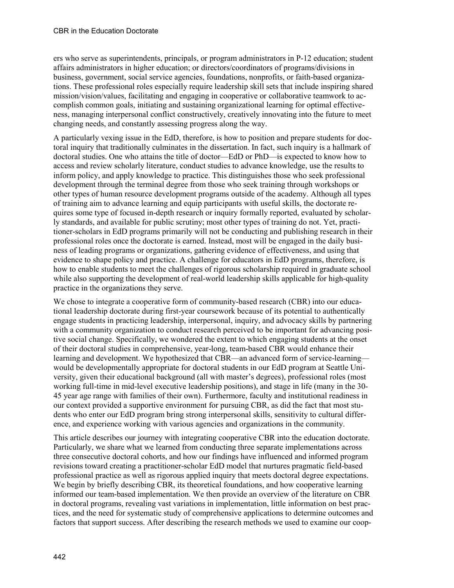ers who serve as superintendents, principals, or program administrators in P-12 education; student affairs administrators in higher education; or directors/coordinators of programs/divisions in business, government, social service agencies, foundations, nonprofits, or faith-based organizations. These professional roles especially require leadership skill sets that include inspiring shared mission/vision/values, facilitating and engaging in cooperative or collaborative teamwork to accomplish common goals, initiating and sustaining organizational learning for optimal effectiveness, managing interpersonal conflict constructively, creatively innovating into the future to meet changing needs, and constantly assessing progress along the way.

A particularly vexing issue in the EdD, therefore, is how to position and prepare students for doctoral inquiry that traditionally culminates in the dissertation. In fact, such inquiry is a hallmark of doctoral studies. One who attains the title of doctor—EdD or PhD—is expected to know how to access and review scholarly literature, conduct studies to advance knowledge, use the results to inform policy, and apply knowledge to practice. This distinguishes those who seek professional development through the terminal degree from those who seek training through workshops or other types of human resource development programs outside of the academy. Although all types of training aim to advance learning and equip participants with useful skills, the doctorate requires some type of focused in-depth research or inquiry formally reported, evaluated by scholarly standards, and available for public scrutiny; most other types of training do not. Yet, practitioner-scholars in EdD programs primarily will not be conducting and publishing research in their professional roles once the doctorate is earned. Instead, most will be engaged in the daily business of leading programs or organizations, gathering evidence of effectiveness, and using that evidence to shape policy and practice. A challenge for educators in EdD programs, therefore, is how to enable students to meet the challenges of rigorous scholarship required in graduate school while also supporting the development of real-world leadership skills applicable for high-quality practice in the organizations they serve.

We chose to integrate a cooperative form of community-based research (CBR) into our educational leadership doctorate during first-year coursework because of its potential to authentically engage students in practicing leadership, interpersonal, inquiry, and advocacy skills by partnering with a community organization to conduct research perceived to be important for advancing positive social change. Specifically, we wondered the extent to which engaging students at the onset of their doctoral studies in comprehensive, year-long, team-based CBR would enhance their learning and development. We hypothesized that CBR—an advanced form of service-learning would be developmentally appropriate for doctoral students in our EdD program at Seattle University, given their educational background (all with master's degrees), professional roles (most working full-time in mid-level executive leadership positions), and stage in life (many in the 30- 45 year age range with families of their own). Furthermore, faculty and institutional readiness in our context provided a supportive environment for pursuing CBR, as did the fact that most students who enter our EdD program bring strong interpersonal skills, sensitivity to cultural difference, and experience working with various agencies and organizations in the community.

This article describes our journey with integrating cooperative CBR into the education doctorate. Particularly, we share what we learned from conducting three separate implementations across three consecutive doctoral cohorts, and how our findings have influenced and informed program revisions toward creating a practitioner-scholar EdD model that nurtures pragmatic field-based professional practice as well as rigorous applied inquiry that meets doctoral degree expectations. We begin by briefly describing CBR, its theoretical foundations, and how cooperative learning informed our team-based implementation. We then provide an overview of the literature on CBR in doctoral programs, revealing vast variations in implementation, little information on best practices, and the need for systematic study of comprehensive applications to determine outcomes and factors that support success. After describing the research methods we used to examine our coop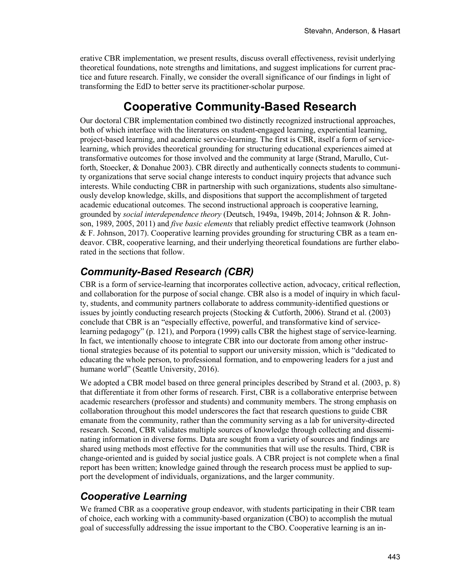erative CBR implementation, we present results, discuss overall effectiveness, revisit underlying theoretical foundations, note strengths and limitations, and suggest implications for current practice and future research. Finally, we consider the overall significance of our findings in light of transforming the EdD to better serve its practitioner-scholar purpose.

# **Cooperative Community-Based Research**

Our doctoral CBR implementation combined two distinctly recognized instructional approaches, both of which interface with the literatures on student-engaged learning, experiential learning, project-based learning, and academic service-learning. The first is CBR, itself a form of servicelearning, which provides theoretical grounding for structuring educational experiences aimed at transformative outcomes for those involved and the community at large (Strand, Marullo, Cutforth, Stoecker, & Donahue 2003). CBR directly and authentically connects students to community organizations that serve social change interests to conduct inquiry projects that advance such interests. While conducting CBR in partnership with such organizations, students also simultaneously develop knowledge, skills, and dispositions that support the accomplishment of targeted academic educational outcomes. The second instructional approach is cooperative learning, grounded by *social interdependence theory* (Deutsch, 1949a, 1949b, 2014; Johnson & R. Johnson, 1989, 2005, 2011) and *five basic elements* that reliably predict effective teamwork (Johnson & F. Johnson, 2017). Cooperative learning provides grounding for structuring CBR as a team endeavor. CBR, cooperative learning, and their underlying theoretical foundations are further elaborated in the sections that follow.

# *Community-Based Research (CBR)*

CBR is a form of service-learning that incorporates collective action, advocacy, critical reflection, and collaboration for the purpose of social change. CBR also is a model of inquiry in which faculty, students, and community partners collaborate to address community-identified questions or issues by jointly conducting research projects (Stocking & Cutforth, 2006). Strand et al. (2003) conclude that CBR is an "especially effective, powerful, and transformative kind of servicelearning pedagogy" (p. 121), and Porpora (1999) calls CBR the highest stage of service-learning. In fact, we intentionally choose to integrate CBR into our doctorate from among other instructional strategies because of its potential to support our university mission, which is "dedicated to educating the whole person, to professional formation, and to empowering leaders for a just and humane world" (Seattle University, 2016).

We adopted a CBR model based on three general principles described by Strand et al. (2003, p. 8) that differentiate it from other forms of research. First, CBR is a collaborative enterprise between academic researchers (professor and students) and community members. The strong emphasis on collaboration throughout this model underscores the fact that research questions to guide CBR emanate from the community, rather than the community serving as a lab for university-directed research. Second, CBR validates multiple sources of knowledge through collecting and disseminating information in diverse forms. Data are sought from a variety of sources and findings are shared using methods most effective for the communities that will use the results. Third, CBR is change-oriented and is guided by social justice goals. A CBR project is not complete when a final report has been written; knowledge gained through the research process must be applied to support the development of individuals, organizations, and the larger community.

# *Cooperative Learning*

We framed CBR as a cooperative group endeavor, with students participating in their CBR team of choice, each working with a community-based organization (CBO) to accomplish the mutual goal of successfully addressing the issue important to the CBO. Cooperative learning is an in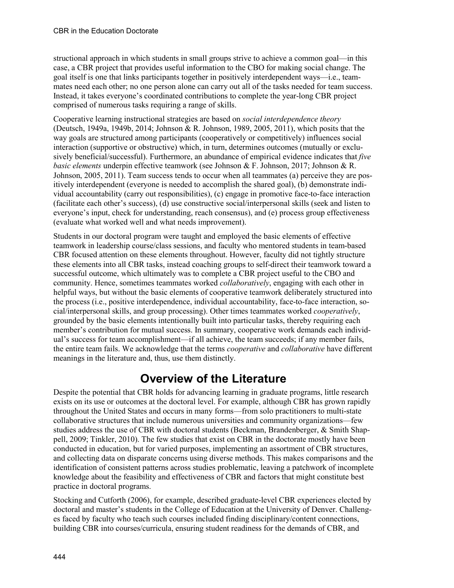structional approach in which students in small groups strive to achieve a common goal—in this case, a CBR project that provides useful information to the CBO for making social change. The goal itself is one that links participants together in positively interdependent ways—i.e., teammates need each other; no one person alone can carry out all of the tasks needed for team success. Instead, it takes everyone's coordinated contributions to complete the year-long CBR project comprised of numerous tasks requiring a range of skills.

Cooperative learning instructional strategies are based on *social interdependence theory* (Deutsch, 1949a, 1949b, 2014; Johnson & R. Johnson, 1989, 2005, 2011), which posits that the way goals are structured among participants (cooperatively or competitively) influences social interaction (supportive or obstructive) which, in turn, determines outcomes (mutually or exclusively beneficial/successful). Furthermore, an abundance of empirical evidence indicates that *five basic elements* underpin effective teamwork (see Johnson & F. Johnson, 2017; Johnson & R. Johnson, 2005, 2011). Team success tends to occur when all teammates (a) perceive they are positively interdependent (everyone is needed to accomplish the shared goal), (b) demonstrate individual accountability (carry out responsibilities), (c) engage in promotive face-to-face interaction (facilitate each other's success), (d) use constructive social/interpersonal skills (seek and listen to everyone's input, check for understanding, reach consensus), and (e) process group effectiveness (evaluate what worked well and what needs improvement).

Students in our doctoral program were taught and employed the basic elements of effective teamwork in leadership course/class sessions, and faculty who mentored students in team-based CBR focused attention on these elements throughout. However, faculty did not tightly structure these elements into all CBR tasks, instead coaching groups to self-direct their teamwork toward a successful outcome, which ultimately was to complete a CBR project useful to the CBO and community. Hence, sometimes teammates worked *collaboratively*, engaging with each other in helpful ways, but without the basic elements of cooperative teamwork deliberately structured into the process (i.e., positive interdependence, individual accountability, face-to-face interaction, social/interpersonal skills, and group processing). Other times teammates worked *cooperatively*, grounded by the basic elements intentionally built into particular tasks, thereby requiring each member's contribution for mutual success. In summary, cooperative work demands each individual's success for team accomplishment—if all achieve, the team succeeds; if any member fails, the entire team fails. We acknowledge that the terms *cooperative* and *collaborative* have different meanings in the literature and, thus, use them distinctly.

# **Overview of the Literature**

Despite the potential that CBR holds for advancing learning in graduate programs, little research exists on its use or outcomes at the doctoral level. For example, although CBR has grown rapidly throughout the United States and occurs in many forms—from solo practitioners to multi-state collaborative structures that include numerous universities and community organizations—few studies address the use of CBR with doctoral students (Beckman, Brandenberger, & Smith Shappell, 2009; Tinkler, 2010). The few studies that exist on CBR in the doctorate mostly have been conducted in education, but for varied purposes, implementing an assortment of CBR structures, and collecting data on disparate concerns using diverse methods. This makes comparisons and the identification of consistent patterns across studies problematic, leaving a patchwork of incomplete knowledge about the feasibility and effectiveness of CBR and factors that might constitute best practice in doctoral programs.

Stocking and Cutforth (2006), for example, described graduate-level CBR experiences elected by doctoral and master's students in the College of Education at the University of Denver. Challenges faced by faculty who teach such courses included finding disciplinary/content connections, building CBR into courses/curricula, ensuring student readiness for the demands of CBR, and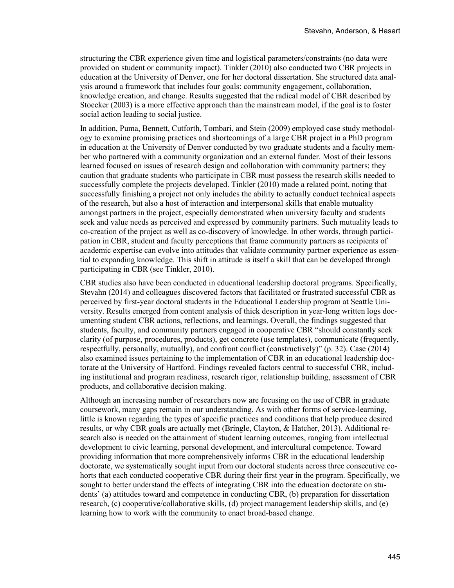structuring the CBR experience given time and logistical parameters/constraints (no data were provided on student or community impact). Tinkler (2010) also conducted two CBR projects in education at the University of Denver, one for her doctoral dissertation. She structured data analysis around a framework that includes four goals: community engagement, collaboration, knowledge creation, and change. Results suggested that the radical model of CBR described by Stoecker (2003) is a more effective approach than the mainstream model, if the goal is to foster social action leading to social justice.

In addition, Puma, Bennett, Cutforth, Tombari, and Stein (2009) employed case study methodology to examine promising practices and shortcomings of a large CBR project in a PhD program in education at the University of Denver conducted by two graduate students and a faculty member who partnered with a community organization and an external funder. Most of their lessons learned focused on issues of research design and collaboration with community partners; they caution that graduate students who participate in CBR must possess the research skills needed to successfully complete the projects developed. Tinkler (2010) made a related point, noting that successfully finishing a project not only includes the ability to actually conduct technical aspects of the research, but also a host of interaction and interpersonal skills that enable mutuality amongst partners in the project, especially demonstrated when university faculty and students seek and value needs as perceived and expressed by community partners. Such mutuality leads to co-creation of the project as well as co-discovery of knowledge. In other words, through participation in CBR, student and faculty perceptions that frame community partners as recipients of academic expertise can evolve into attitudes that validate community partner experience as essential to expanding knowledge. This shift in attitude is itself a skill that can be developed through participating in CBR (see Tinkler, 2010).

CBR studies also have been conducted in educational leadership doctoral programs. Specifically, Stevahn (2014) and colleagues discovered factors that facilitated or frustrated successful CBR as perceived by first-year doctoral students in the Educational Leadership program at Seattle University. Results emerged from content analysis of thick description in year-long written logs documenting student CBR actions, reflections, and learnings. Overall, the findings suggested that students, faculty, and community partners engaged in cooperative CBR "should constantly seek clarity (of purpose, procedures, products), get concrete (use templates), communicate (frequently, respectfully, personally, mutually), and confront conflict (constructively)" (p. 32). Case (2014) also examined issues pertaining to the implementation of CBR in an educational leadership doctorate at the University of Hartford. Findings revealed factors central to successful CBR, including institutional and program readiness, research rigor, relationship building, assessment of CBR products, and collaborative decision making.

Although an increasing number of researchers now are focusing on the use of CBR in graduate coursework, many gaps remain in our understanding. As with other forms of service-learning, little is known regarding the types of specific practices and conditions that help produce desired results, or why CBR goals are actually met (Bringle, Clayton, & Hatcher, 2013). Additional research also is needed on the attainment of student learning outcomes, ranging from intellectual development to civic learning, personal development, and intercultural competence. Toward providing information that more comprehensively informs CBR in the educational leadership doctorate, we systematically sought input from our doctoral students across three consecutive cohorts that each conducted cooperative CBR during their first year in the program. Specifically, we sought to better understand the effects of integrating CBR into the education doctorate on students' (a) attitudes toward and competence in conducting CBR, (b) preparation for dissertation research, (c) cooperative/collaborative skills, (d) project management leadership skills, and (e) learning how to work with the community to enact broad-based change.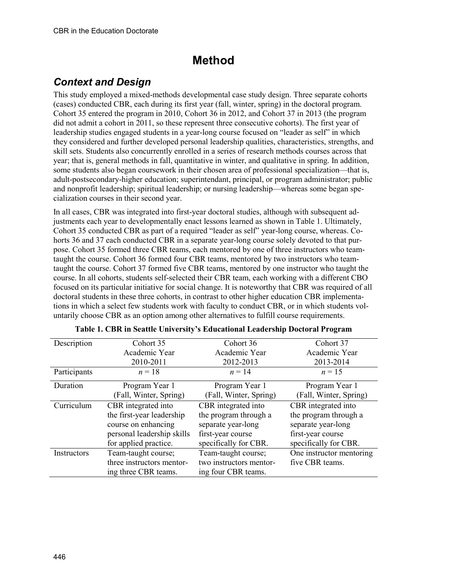# **Method**

## *Context and Design*

This study employed a mixed-methods developmental case study design. Three separate cohorts (cases) conducted CBR, each during its first year (fall, winter, spring) in the doctoral program. Cohort 35 entered the program in 2010, Cohort 36 in 2012, and Cohort 37 in 2013 (the program did not admit a cohort in 2011, so these represent three consecutive cohorts). The first year of leadership studies engaged students in a year-long course focused on "leader as self" in which they considered and further developed personal leadership qualities, characteristics, strengths, and skill sets. Students also concurrently enrolled in a series of research methods courses across that year; that is, general methods in fall, quantitative in winter, and qualitative in spring. In addition, some students also began coursework in their chosen area of professional specialization—that is, adult-postsecondary-higher education; superintendant, principal, or program administrator; public and nonprofit leadership; spiritual leadership; or nursing leadership—whereas some began specialization courses in their second year.

In all cases, CBR was integrated into first-year doctoral studies, although with subsequent adjustments each year to developmentally enact lessons learned as shown in Table 1. Ultimately, Cohort 35 conducted CBR as part of a required "leader as self" year-long course, whereas. Cohorts 36 and 37 each conducted CBR in a separate year-long course solely devoted to that purpose. Cohort 35 formed three CBR teams, each mentored by one of three instructors who teamtaught the course. Cohort 36 formed four CBR teams, mentored by two instructors who teamtaught the course. Cohort 37 formed five CBR teams, mentored by one instructor who taught the course. In all cohorts, students self-selected their CBR team, each working with a different CBO focused on its particular initiative for social change. It is noteworthy that CBR was required of all doctoral students in these three cohorts, in contrast to other higher education CBR implementations in which a select few students work with faculty to conduct CBR, or in which students voluntarily choose CBR as an option among other alternatives to fulfill course requirements.

| Description        | Cohort 35                  | Cohort 36               | Cohort 37                |
|--------------------|----------------------------|-------------------------|--------------------------|
|                    | Academic Year              | Academic Year           | Academic Year            |
|                    | 2010-2011                  | 2012-2013               | 2013-2014                |
| Participants       | $n=18$                     | $n = 14$                | $n = 15$                 |
| Duration           | Program Year 1             | Program Year 1          | Program Year 1           |
|                    | (Fall, Winter, Spring)     | (Fall, Winter, Spring)  | (Fall, Winter, Spring)   |
| Curriculum         | CBR integrated into        | CBR integrated into     | CBR integrated into      |
|                    | the first-year leadership  | the program through a   | the program through a    |
|                    | course on enhancing        | separate year-long      | separate year-long       |
|                    | personal leadership skills | first-year course       | first-year course        |
|                    | for applied practice.      | specifically for CBR.   | specifically for CBR.    |
| <b>Instructors</b> | Team-taught course;        | Team-taught course;     | One instructor mentoring |
|                    | three instructors mentor-  | two instructors mentor- | five CBR teams.          |
|                    | ing three CBR teams.       | ing four CBR teams.     |                          |

|  |  |  |  |  |  |  | Table 1. CBR in Seattle University's Educational Leadership Doctoral Program |  |
|--|--|--|--|--|--|--|------------------------------------------------------------------------------|--|
|--|--|--|--|--|--|--|------------------------------------------------------------------------------|--|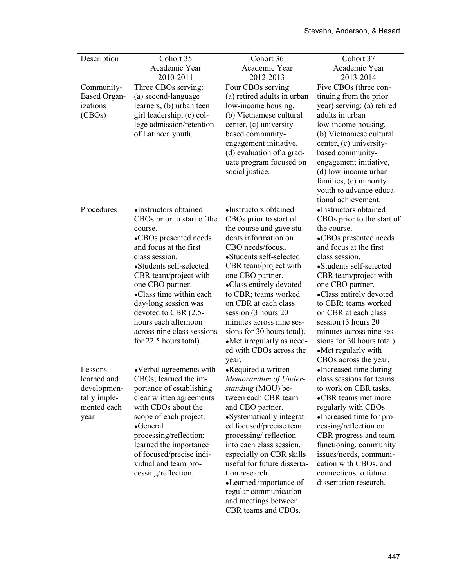| Description         | Cohort 35                                    | Cohort 36                                              | Cohort 37                                       |
|---------------------|----------------------------------------------|--------------------------------------------------------|-------------------------------------------------|
|                     | Academic Year                                | Academic Year                                          | Academic Year                                   |
|                     | 2010-2011                                    | 2012-2013                                              | 2013-2014                                       |
| Community-          | Three CBOs serving:                          | Four CBOs serving:                                     | Five CBOs (three con-                           |
| <b>Based Organ-</b> | (a) second-language                          | (a) retired adults in urban                            | tinuing from the prior                          |
| izations            | learners, (b) urban teen                     | low-income housing,                                    | year) serving: (a) retired                      |
| (CBOs)              | girl leadership, (c) col-                    | (b) Vietnamese cultural                                | adults in urban                                 |
|                     | lege admission/retention                     | center, (c) university-                                | low-income housing,                             |
|                     | of Latino/a youth.                           | based community-                                       | (b) Vietnamese cultural                         |
|                     |                                              | engagement initiative,                                 | center, (c) university-                         |
|                     |                                              | (d) evaluation of a grad-                              | based community-                                |
|                     |                                              | uate program focused on                                | engagement initiative,                          |
|                     |                                              | social justice.                                        | (d) low-income urban                            |
|                     |                                              |                                                        | families, (e) minority                          |
|                     |                                              |                                                        | youth to advance educa-                         |
|                     |                                              |                                                        | tional achievement.                             |
| Procedures          | •Instructors obtained                        | •Instructors obtained                                  | •Instructors obtained                           |
|                     | CBOs prior to start of the                   | CBOs prior to start of                                 | CBOs prior to the start of                      |
|                     | course.                                      | the course and gave stu-                               | the course.                                     |
|                     | •CBOs presented needs                        | dents information on                                   | •CBOs presented needs                           |
|                     | and focus at the first                       | CBO needs/focus                                        | and focus at the first                          |
|                     | class session.                               | •Students self-selected                                | class session.                                  |
|                     | •Students self-selected                      | CBR team/project with                                  | •Students self-selected                         |
|                     | CBR team/project with                        | one CBO partner.                                       | CBR team/project with                           |
|                     | one CBO partner.                             | •Class entirely devoted                                | one CBO partner.                                |
|                     | •Class time within each                      | to CBR; teams worked                                   | •Class entirely devoted                         |
|                     | day-long session was                         | on CBR at each class                                   | to CBR; teams worked                            |
|                     | devoted to CBR (2.5-<br>hours each afternoon | session (3 hours 20                                    | on CBR at each class                            |
|                     | across nine class sessions                   | minutes across nine ses-<br>sions for 30 hours total). | session (3 hours 20<br>minutes across nine ses- |
|                     |                                              | •Met irregularly as need-                              | sions for 30 hours total).                      |
|                     | for 22.5 hours total).                       | ed with CBOs across the                                | •Met regularly with                             |
|                     |                                              |                                                        | CBOs across the year.                           |
| Lessons             | • Verbal agreements with                     | year.<br>•Required a written                           | •Increased time during                          |
| learned and         | CBOs; learned the im-                        | Memorandum of Under-                                   | class sessions for teams                        |
| developmen-         | portance of establishing                     | standing (MOU) be-                                     | to work on CBR tasks.                           |
| tally imple-        | clear written agreements                     | tween each CBR team                                    | •CBR teams met more                             |
| mented each         | with CBOs about the                          | and CBO partner.                                       | regularly with CBOs.                            |
| year                | scope of each project.                       | •Systematically integrat-                              | •Increased time for pro-                        |
|                     | •General                                     | ed focused/precise team                                | cessing/reflection on                           |
|                     | processing/reflection;                       | processing/reflection                                  | CBR progress and team                           |
|                     | learned the importance                       | into each class session,                               | functioning, community                          |
|                     | of focused/precise indi-                     | especially on CBR skills                               | issues/needs, communi-                          |
|                     | vidual and team pro-                         | useful for future disserta-                            | cation with CBOs, and                           |
|                     | cessing/reflection.                          | tion research.                                         | connections to future                           |
|                     |                                              | •Learned importance of                                 | dissertation research.                          |
|                     |                                              | regular communication                                  |                                                 |
|                     |                                              | and meetings between                                   |                                                 |
|                     |                                              | CBR teams and CBOs.                                    |                                                 |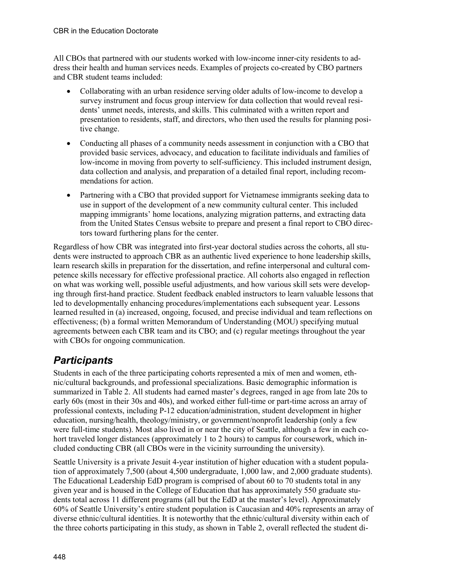All CBOs that partnered with our students worked with low-income inner-city residents to address their health and human services needs. Examples of projects co-created by CBO partners and CBR student teams included:

- Collaborating with an urban residence serving older adults of low-income to develop a survey instrument and focus group interview for data collection that would reveal residents' unmet needs, interests, and skills. This culminated with a written report and presentation to residents, staff, and directors, who then used the results for planning positive change.
- Conducting all phases of a community needs assessment in conjunction with a CBO that provided basic services, advocacy, and education to facilitate individuals and families of low-income in moving from poverty to self-sufficiency. This included instrument design, data collection and analysis, and preparation of a detailed final report, including recommendations for action.
- Partnering with a CBO that provided support for Vietnamese immigrants seeking data to use in support of the development of a new community cultural center. This included mapping immigrants' home locations, analyzing migration patterns, and extracting data from the United States Census website to prepare and present a final report to CBO directors toward furthering plans for the center.

Regardless of how CBR was integrated into first-year doctoral studies across the cohorts, all students were instructed to approach CBR as an authentic lived experience to hone leadership skills, learn research skills in preparation for the dissertation, and refine interpersonal and cultural competence skills necessary for effective professional practice. All cohorts also engaged in reflection on what was working well, possible useful adjustments, and how various skill sets were developing through first-hand practice. Student feedback enabled instructors to learn valuable lessons that led to developmentally enhancing procedures/implementations each subsequent year. Lessons learned resulted in (a) increased, ongoing, focused, and precise individual and team reflections on effectiveness; (b) a formal written Memorandum of Understanding (MOU) specifying mutual agreements between each CBR team and its CBO; and (c) regular meetings throughout the year with CBOs for ongoing communication.

## *Participants*

Students in each of the three participating cohorts represented a mix of men and women, ethnic/cultural backgrounds, and professional specializations. Basic demographic information is summarized in Table 2. All students had earned master's degrees, ranged in age from late 20s to early 60s (most in their 30s and 40s), and worked either full-time or part-time across an array of professional contexts, including P-12 education/administration, student development in higher education, nursing/health, theology/ministry, or government/nonprofit leadership (only a few were full-time students). Most also lived in or near the city of Seattle, although a few in each cohort traveled longer distances (approximately 1 to 2 hours) to campus for coursework, which included conducting CBR (all CBOs were in the vicinity surrounding the university).

Seattle University is a private Jesuit 4-year institution of higher education with a student population of approximately 7,500 (about 4,500 undergraduate, 1,000 law, and 2,000 graduate students). The Educational Leadership EdD program is comprised of about 60 to 70 students total in any given year and is housed in the College of Education that has approximately 550 graduate students total across 11 different programs (all but the EdD at the master's level). Approximately 60% of Seattle University's entire student population is Caucasian and 40% represents an array of diverse ethnic/cultural identities. It is noteworthy that the ethnic/cultural diversity within each of the three cohorts participating in this study, as shown in Table 2, overall reflected the student di-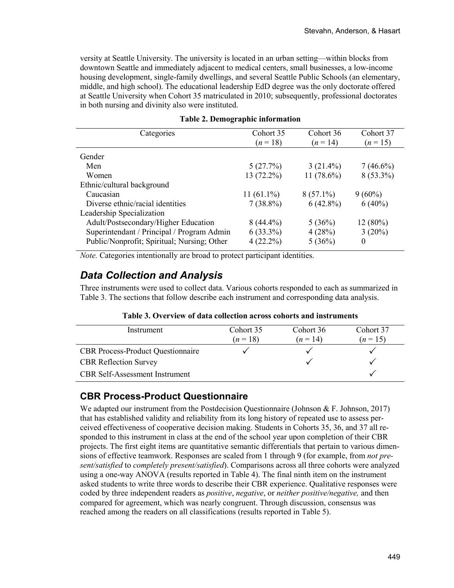versity at Seattle University. The university is located in an urban setting—within blocks from downtown Seattle and immediately adjacent to medical centers, small businesses, a low-income housing development, single-family dwellings, and several Seattle Public Schools (an elementary, middle, and high school). The educational leadership EdD degree was the only doctorate offered at Seattle University when Cohort 35 matriculated in 2010; subsequently, professional doctorates in both nursing and divinity also were instituted.

| Categories                                  | Cohort 35    | Cohort 36    | Cohort 37   |
|---------------------------------------------|--------------|--------------|-------------|
|                                             | $(n = 18)$   | $(n = 14)$   | $(n = 15)$  |
| Gender                                      |              |              |             |
| Men                                         | 5(27.7%)     | $3(21.4\%)$  | $7(46.6\%)$ |
| Women                                       | 13 (72.2%)   | $11(78.6\%)$ | $8(53.3\%)$ |
| Ethnic/cultural background                  |              |              |             |
| Caucasian                                   | $11(61.1\%)$ | $8(57.1\%)$  | $9(60\%)$   |
| Diverse ethnic/racial identities            | $7(38.8\%)$  | $6(42.8\%)$  | $6(40\%)$   |
| Leadership Specialization                   |              |              |             |
| Adult/Postsecondary/Higher Education        | $8(44.4\%)$  | 5(36%)       | 12(80%)     |
| Superintendant / Principal / Program Admin  | $6(33.3\%)$  | 4(28%)       | 3(20%)      |
| Public/Nonprofit; Spiritual; Nursing; Other | $4(22.2\%)$  | 5(36%)       | $\theta$    |
|                                             |              |              |             |

|  | <b>Table 2. Demographic information</b> |  |  |  |  |
|--|-----------------------------------------|--|--|--|--|
|--|-----------------------------------------|--|--|--|--|

*Note.* Categories intentionally are broad to protect participant identities.

### *Data Collection and Analysis*

Three instruments were used to collect data. Various cohorts responded to each as summarized in Table 3. The sections that follow describe each instrument and corresponding data analysis.

| Instrument                               | Cohort 35<br>$(n=18)$ | Cohort 36<br>$(n=14)$ | Cohort 37<br>$(n=15)$ |
|------------------------------------------|-----------------------|-----------------------|-----------------------|
| <b>CBR</b> Process-Product Questionnaire |                       |                       |                       |
| <b>CBR</b> Reflection Survey             |                       |                       |                       |
| <b>CBR</b> Self-Assessment Instrument    |                       |                       |                       |

#### **Table 3. Overview of data collection across cohorts and instruments**

#### **CBR Process-Product Questionnaire**

We adapted our instrument from the Postdecision Questionnaire (Johnson & F. Johnson, 2017) that has established validity and reliability from its long history of repeated use to assess perceived effectiveness of cooperative decision making. Students in Cohorts 35, 36, and 37 all responded to this instrument in class at the end of the school year upon completion of their CBR projects. The first eight items are quantitative semantic differentials that pertain to various dimensions of effective teamwork. Responses are scaled from 1 through 9 (for example, from *not present/satisfied* to *completely present/satisfied*). Comparisons across all three cohorts were analyzed using a one-way ANOVA (results reported in Table 4). The final ninth item on the instrument asked students to write three words to describe their CBR experience. Qualitative responses were coded by three independent readers as *positive*, *negative*, or *neither positive/negative,* and then compared for agreement, which was nearly congruent. Through discussion, consensus was reached among the readers on all classifications (results reported in Table 5).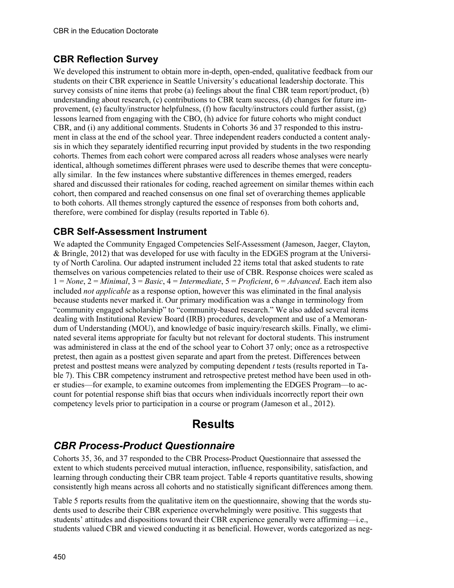#### **CBR Reflection Survey**

We developed this instrument to obtain more in-depth, open-ended, qualitative feedback from our students on their CBR experience in Seattle University's educational leadership doctorate. This survey consists of nine items that probe (a) feelings about the final CBR team report/product, (b) understanding about research, (c) contributions to CBR team success, (d) changes for future improvement, (e) faculty/instructor helpfulness, (f) how faculty/instructors could further assist, (g) lessons learned from engaging with the CBO, (h) advice for future cohorts who might conduct CBR, and (i) any additional comments. Students in Cohorts 36 and 37 responded to this instrument in class at the end of the school year. Three independent readers conducted a content analysis in which they separately identified recurring input provided by students in the two responding cohorts. Themes from each cohort were compared across all readers whose analyses were nearly identical, although sometimes different phrases were used to describe themes that were conceptually similar. In the few instances where substantive differences in themes emerged, readers shared and discussed their rationales for coding, reached agreement on similar themes within each cohort, then compared and reached consensus on one final set of overarching themes applicable to both cohorts. All themes strongly captured the essence of responses from both cohorts and, therefore, were combined for display (results reported in Table 6).

#### **CBR Self-Assessment Instrument**

We adapted the Community Engaged Competencies Self-Assessment (Jameson, Jaeger, Clayton, & Bringle, 2012) that was developed for use with faculty in the EDGES program at the University of North Carolina. Our adapted instrument included 22 items total that asked students to rate themselves on various competencies related to their use of CBR. Response choices were scaled as 1 = *None*, 2 = *Minimal*, 3 = *Basic*, 4 = *Intermediate*, 5 = *Proficient*, 6 = *Advanced*. Each item also included *not applicable* as a response option, however this was eliminated in the final analysis because students never marked it. Our primary modification was a change in terminology from "community engaged scholarship" to "community-based research." We also added several items dealing with Institutional Review Board (IRB) procedures, development and use of a Memorandum of Understanding (MOU), and knowledge of basic inquiry/research skills. Finally, we eliminated several items appropriate for faculty but not relevant for doctoral students. This instrument was administered in class at the end of the school year to Cohort 37 only; once as a retrospective pretest, then again as a posttest given separate and apart from the pretest. Differences between pretest and posttest means were analyzed by computing dependent *t* tests (results reported in Table 7). This CBR competency instrument and retrospective pretest method have been used in other studies—for example, to examine outcomes from implementing the EDGES Program—to account for potential response shift bias that occurs when individuals incorrectly report their own competency levels prior to participation in a course or program (Jameson et al., 2012).

## **Results**

### *CBR Process-Product Questionnaire*

Cohorts 35, 36, and 37 responded to the CBR Process-Product Questionnaire that assessed the extent to which students perceived mutual interaction, influence, responsibility, satisfaction, and learning through conducting their CBR team project. Table 4 reports quantitative results, showing consistently high means across all cohorts and no statistically significant differences among them.

Table 5 reports results from the qualitative item on the questionnaire, showing that the words students used to describe their CBR experience overwhelmingly were positive. This suggests that students' attitudes and dispositions toward their CBR experience generally were affirming—i.e., students valued CBR and viewed conducting it as beneficial. However, words categorized as neg-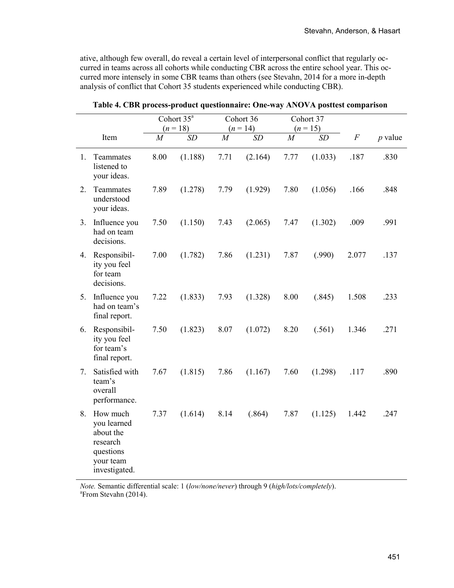ative, although few overall, do reveal a certain level of interpersonal conflict that regularly occurred in teams across all cohorts while conducting CBR across the entire school year. This occurred more intensely in some CBR teams than others (see Stevahn, 2014 for a more in-depth analysis of conflict that Cohort 35 students experienced while conducting CBR).

|    |                                                                                             |                | Cohort $35^a$ |                | Cohort 36  |                | Cohort 37  |          |           |
|----|---------------------------------------------------------------------------------------------|----------------|---------------|----------------|------------|----------------|------------|----------|-----------|
|    |                                                                                             |                | $(n = 18)$    |                | $(n = 14)$ |                | $(n = 15)$ |          |           |
|    | Item                                                                                        | $\overline{M}$ | <b>SD</b>     | $\overline{M}$ | SD         | $\overline{M}$ | SD         | $\cal F$ | $p$ value |
| 1. | Teammates<br>listened to<br>your ideas.                                                     | 8.00           | (1.188)       | 7.71           | (2.164)    | 7.77           | (1.033)    | .187     | .830      |
| 2. | Teammates<br>understood<br>your ideas.                                                      | 7.89           | (1.278)       | 7.79           | (1.929)    | 7.80           | (1.056)    | .166     | .848      |
| 3. | Influence you<br>had on team<br>decisions.                                                  | 7.50           | (1.150)       | 7.43           | (2.065)    | 7.47           | (1.302)    | .009     | .991      |
| 4. | Responsibil-<br>ity you feel<br>for team<br>decisions.                                      | 7.00           | (1.782)       | 7.86           | (1.231)    | 7.87           | (.990)     | 2.077    | .137      |
| 5. | Influence you<br>had on team's<br>final report.                                             | 7.22           | (1.833)       | 7.93           | (1.328)    | 8.00           | (.845)     | 1.508    | .233      |
| 6. | Responsibil-<br>ity you feel<br>for team's<br>final report.                                 | 7.50           | (1.823)       | 8.07           | (1.072)    | 8.20           | (.561)     | 1.346    | .271      |
| 7. | Satisfied with<br>team's<br>overall<br>performance.                                         | 7.67           | (1.815)       | 7.86           | (1.167)    | 7.60           | (1.298)    | .117     | .890      |
| 8. | How much<br>you learned<br>about the<br>research<br>questions<br>your team<br>investigated. | 7.37           | (1.614)       | 8.14           | (.864)     | 7.87           | (1.125)    | 1.442    | .247      |

|  |  |  |  |  | Table 4. CBR process-product questionnaire: One-way ANOVA posttest comparison |
|--|--|--|--|--|-------------------------------------------------------------------------------|
|--|--|--|--|--|-------------------------------------------------------------------------------|

*Note.* Semantic differential scale: 1 (*low/none/never*) through 9 (*high/lots/completely*). a <sup>a</sup>From Stevahn (2014).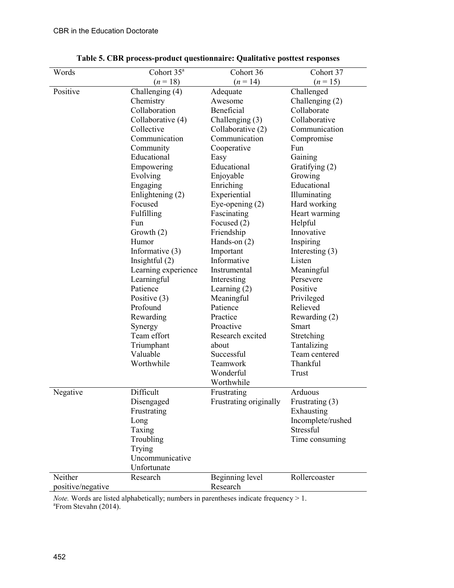| Words             | Cohort 35 <sup>ª</sup> | Cohort 36              | Cohort 37         |
|-------------------|------------------------|------------------------|-------------------|
|                   | $(n=18)$               | $(n = 14)$             | $(n = 15)$        |
| Positive          | Challenging (4)        | Adequate               | Challenged        |
|                   | Chemistry              | Awesome                | Challenging $(2)$ |
|                   | Collaboration          | Beneficial             | Collaborate       |
|                   | Collaborative (4)      | Challenging (3)        | Collaborative     |
|                   | Collective             | Collaborative (2)      | Communication     |
|                   | Communication          | Communication          | Compromise        |
|                   | Community              | Cooperative            | Fun               |
|                   | Educational            | Easy                   | Gaining           |
|                   | Empowering             | Educational            | Gratifying (2)    |
|                   | Evolving               | Enjoyable              | Growing           |
|                   | Engaging               | Enriching              | Educational       |
|                   | Enlightening (2)       | Experiential           | Illuminating      |
|                   | Focused                | Eye-opening $(2)$      | Hard working      |
|                   | Fulfilling             | Fascinating            | Heart warming     |
|                   | Fun                    | Focused (2)            | Helpful           |
|                   | Growth $(2)$           | Friendship             | Innovative        |
|                   | Humor                  | Hands-on $(2)$         | Inspiring         |
|                   | Informative $(3)$      | Important              | Interesting $(3)$ |
|                   | Insightful $(2)$       | Informative            | Listen            |
|                   | Learning experience    | Instrumental           | Meaningful        |
|                   | Learningful            | Interesting            | Persevere         |
|                   | Patience               | Learning $(2)$         | Positive          |
|                   | Positive $(3)$         | Meaningful             | Privileged        |
|                   | Profound               | Patience               | Relieved          |
|                   | Rewarding              | Practice               | Rewarding (2)     |
|                   | Synergy                | Proactive              | Smart             |
|                   | Team effort            | Research excited       | Stretching        |
|                   | Triumphant             | about                  | Tantalizing       |
|                   | Valuable               | Successful             | Team centered     |
|                   | Worthwhile             | Teamwork               | Thankful          |
|                   |                        | Wonderful              | Trust             |
|                   |                        | Worthwhile             |                   |
| Negative          | Difficult              | Frustrating            | Arduous           |
|                   | Disengaged             | Frustrating originally | Frustrating (3)   |
|                   | Frustrating            |                        | Exhausting        |
|                   | Long                   |                        | Incomplete/rushed |
|                   | Taxing                 |                        | Stressful         |
|                   | Troubling              |                        | Time consuming    |
|                   | Trying                 |                        |                   |
|                   | Uncommunicative        |                        |                   |
|                   | Unfortunate            |                        |                   |
| Neither           | Research               | Beginning level        | Rollercoaster     |
| positive/negative |                        | Research               |                   |

**Table 5. CBR process-product questionnaire: Qualitative posttest responses**

*Note.* Words are listed alphabetically; numbers in parentheses indicate frequency > 1. <sup>a</sup> From Stevahn (2014).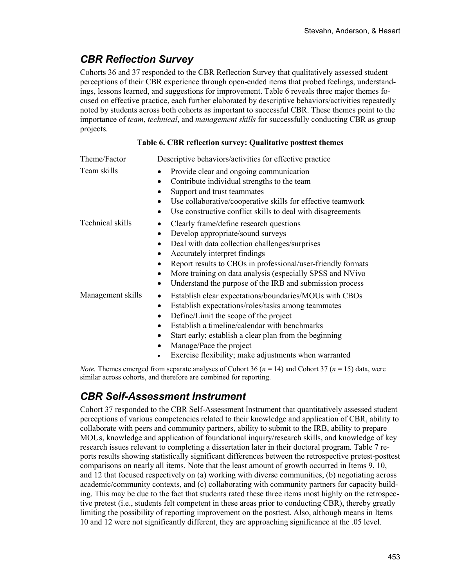# *CBR Reflection Survey*

Cohorts 36 and 37 responded to the CBR Reflection Survey that qualitatively assessed student perceptions of their CBR experience through open-ended items that probed feelings, understandings, lessons learned, and suggestions for improvement. Table 6 reveals three major themes focused on effective practice, each further elaborated by descriptive behaviors/activities repeatedly noted by students across both cohorts as important to successful CBR. These themes point to the importance of *team*, *technical*, and *management skills* for successfully conducting CBR as group projects.

| Theme/Factor      | Descriptive behaviors/activities for effective practice                                                                                                                                                                                                                                                                                                   |
|-------------------|-----------------------------------------------------------------------------------------------------------------------------------------------------------------------------------------------------------------------------------------------------------------------------------------------------------------------------------------------------------|
| Team skills       | Provide clear and ongoing communication<br>Contribute individual strengths to the team<br>Support and trust teammates<br>Use collaborative/cooperative skills for effective teamwork<br>Use constructive conflict skills to deal with disagreements                                                                                                       |
| Technical skills  | Clearly frame/define research questions<br>Develop appropriate/sound surveys<br>Deal with data collection challenges/surprises<br>Accurately interpret findings<br>Report results to CBOs in professional/user-friendly formats<br>More training on data analysis (especially SPSS and NVivo<br>Understand the purpose of the IRB and submission process  |
| Management skills | Establish clear expectations/boundaries/MOUs with CBOs<br>٠<br>Establish expectations/roles/tasks among teammates<br>Define/Limit the scope of the project<br>Establish a timeline/calendar with benchmarks<br>Start early; establish a clear plan from the beginning<br>Manage/Pace the project<br>Exercise flexibility; make adjustments when warranted |

**Table 6. CBR reflection survey: Qualitative posttest themes**

*Note.* Themes emerged from separate analyses of Cohort 36 ( $n = 14$ ) and Cohort 37 ( $n = 15$ ) data, were similar across cohorts, and therefore are combined for reporting.

## *CBR Self-Assessment Instrument*

Cohort 37 responded to the CBR Self-Assessment Instrument that quantitatively assessed student perceptions of various competencies related to their knowledge and application of CBR, ability to collaborate with peers and community partners, ability to submit to the IRB, ability to prepare MOUs, knowledge and application of foundational inquiry/research skills, and knowledge of key research issues relevant to completing a dissertation later in their doctoral program. Table 7 reports results showing statistically significant differences between the retrospective pretest-posttest comparisons on nearly all items. Note that the least amount of growth occurred in Items 9, 10, and 12 that focused respectively on (a) working with diverse communities, (b) negotiating across academic/community contexts, and (c) collaborating with community partners for capacity building. This may be due to the fact that students rated these three items most highly on the retrospective pretest (i.e., students felt competent in these areas prior to conducting CBR), thereby greatly limiting the possibility of reporting improvement on the posttest. Also, although means in Items 10 and 12 were not significantly different, they are approaching significance at the .05 level.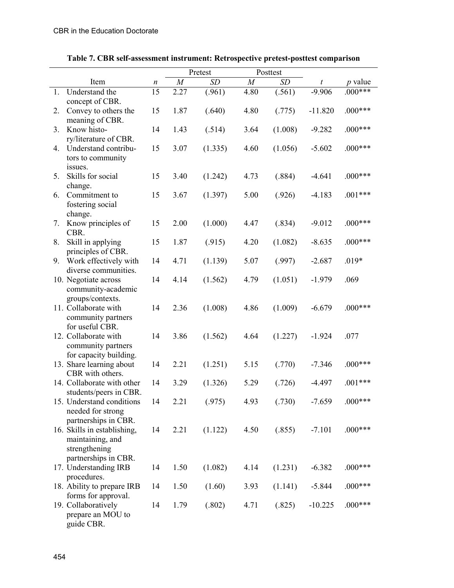|    |                                               | Pretest<br>Posttest |                  |           |                  |         |           |           |
|----|-----------------------------------------------|---------------------|------------------|-----------|------------------|---------|-----------|-----------|
|    | Item                                          | n                   | $\boldsymbol{M}$ | <b>SD</b> | $\boldsymbol{M}$ | SD      | t         | $p$ value |
| 1. | Understand the                                | 15                  | 2.27             | (.961)    | 4.80             | (.561)  | $-9.906$  | $.000***$ |
|    | concept of CBR.                               |                     |                  |           |                  |         |           |           |
| 2. | Convey to others the                          | 15                  | 1.87             | (.640)    | 4.80             | (.775)  | $-11.820$ | $.000***$ |
|    | meaning of CBR.                               |                     |                  |           |                  |         |           |           |
| 3. | Know histo-                                   | 14                  | 1.43             | (.514)    | 3.64             | (1.008) | $-9.282$  | $.000***$ |
| 4. | ry/literature of CBR.<br>Understand contribu- | 15                  | 3.07             | (1.335)   | 4.60             | (1.056) | $-5.602$  | $.000***$ |
|    | tors to community                             |                     |                  |           |                  |         |           |           |
|    | issues.                                       |                     |                  |           |                  |         |           |           |
| 5. | Skills for social                             | 15                  | 3.40             | (1.242)   | 4.73             | (.884)  | $-4.641$  | $.000***$ |
|    | change.                                       |                     |                  |           |                  |         |           |           |
| 6. | Commitment to                                 | 15                  | 3.67             | (1.397)   | 5.00             | (.926)  | $-4.183$  | $.001***$ |
|    | fostering social                              |                     |                  |           |                  |         |           |           |
|    | change.                                       |                     |                  |           |                  |         |           |           |
| 7. | Know principles of                            | 15                  | 2.00             | (1.000)   | 4.47             | (.834)  | $-9.012$  | $.000***$ |
|    | CBR.                                          |                     |                  |           |                  |         |           |           |
| 8. | Skill in applying                             | 15                  | 1.87             | (.915)    | 4.20             | (1.082) | $-8.635$  | $.000***$ |
|    | principles of CBR.                            |                     |                  |           |                  |         |           |           |
| 9. | Work effectively with                         | 14                  | 4.71             | (1.139)   | 5.07             | (.997)  | $-2.687$  | $.019*$   |
|    | diverse communities.                          |                     |                  |           |                  |         |           |           |
|    | 10. Negotiate across                          | 14                  | 4.14             | (1.562)   | 4.79             | (1.051) | $-1.979$  | .069      |
|    | community-academic                            |                     |                  |           |                  |         |           |           |
|    | groups/contexts.                              |                     |                  |           |                  |         |           |           |
|    | 11. Collaborate with                          | 14                  | 2.36             | (1.008)   | 4.86             | (1.009) | $-6.679$  | $.000***$ |
|    | community partners                            |                     |                  |           |                  |         |           |           |
|    | for useful CBR.                               |                     |                  |           |                  |         |           |           |
|    | 12. Collaborate with                          | 14                  | 3.86             | (1.562)   | 4.64             | (1.227) | $-1.924$  | .077      |
|    | community partners<br>for capacity building.  |                     |                  |           |                  |         |           |           |
|    | 13. Share learning about                      | 14                  | 2.21             | (1.251)   | 5.15             | (.770)  | $-7.346$  | $.000***$ |
|    | CBR with others.                              |                     |                  |           |                  |         |           |           |
|    | 14. Collaborate with other                    | 14                  | 3.29             | (1.326)   | 5.29             | (.726)  | $-4.497$  | $.001***$ |
|    | students/peers in CBR.                        |                     |                  |           |                  |         |           |           |
|    | 15. Understand conditions                     | 14                  | 2.21             | (.975)    | 4.93             | (.730)  | $-7.659$  | $.000***$ |
|    | needed for strong                             |                     |                  |           |                  |         |           |           |
|    | partnerships in CBR.                          |                     |                  |           |                  |         |           |           |
|    | 16. Skills in establishing,                   | 14                  | 2.21             | (1.122)   | 4.50             | (.855)  | $-7.101$  | $.000***$ |
|    | maintaining, and                              |                     |                  |           |                  |         |           |           |
|    | strengthening                                 |                     |                  |           |                  |         |           |           |
|    | partnerships in CBR.                          |                     |                  |           |                  |         |           |           |
|    | 17. Understanding IRB                         | 14                  | 1.50             | (1.082)   | 4.14             | (1.231) | $-6.382$  | $.000***$ |
|    | procedures.                                   |                     |                  |           |                  |         |           |           |
|    | 18. Ability to prepare IRB                    | 14                  | 1.50             | (1.60)    | 3.93             | (1.141) | $-5.844$  | $.000***$ |
|    | forms for approval.                           |                     |                  |           |                  |         |           |           |
|    | 19. Collaboratively                           | 14                  | 1.79             | (.802)    | 4.71             | (.825)  | $-10.225$ | $.000***$ |
|    | prepare an MOU to                             |                     |                  |           |                  |         |           |           |
|    | guide CBR.                                    |                     |                  |           |                  |         |           |           |

**Table 7. CBR self-assessment instrument: Retrospective pretest-posttest comparison**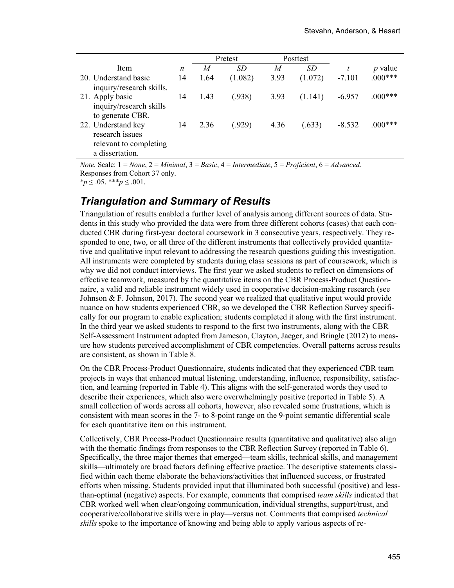|                                                                                    |        |                             | Pretest      |                | Posttest             |                |                |
|------------------------------------------------------------------------------------|--------|-----------------------------|--------------|----------------|----------------------|----------------|----------------|
| Item                                                                               | n      | M                           | <i>SD</i>    | M              | SD                   |                | <i>p</i> value |
| 20. Understand basic<br>inquiry/research skills.                                   | 14     | 1.64                        | (1.082)      | 3.93           | (1.072)              | $-7.101$       | $.000***$      |
| 21. Apply basic<br>inquiry/research skills<br>to generate CBR.                     | 14     | 1.43                        | (.938)       | 3.93           | (1.141)              | $-6.957$       | $.000***$      |
| 22. Understand key<br>research issues<br>relevant to completing<br>a dissertation. | 14     | 2.36                        | (.929)       | 4.36           | (.633)               | $-8.532$       | $.000***$      |
| $\mathbf{r}$ .<br>$\mathbf{v}$ and $\mathbf{v}$                                    | $\sim$ | $\mathbf{r}$ . $\mathbf{r}$ | $\mathbf{r}$ | $\mathbf{r}$ . | $\sim$ $\sim$ $\sim$ | $\overline{1}$ |                |

*Note.* Scale: 1 = *None*, 2 = *Minimal*, 3 = *Basic*, 4 = *Intermediate*, 5 = *Proficient*, 6 = *Advanced.* Responses from Cohort 37 only.

 $*_p$   $\leq .05$ .  $**$  $p \leq .001$ .

#### *Triangulation and Summary of Results*

Triangulation of results enabled a further level of analysis among different sources of data. Students in this study who provided the data were from three different cohorts (cases) that each conducted CBR during first-year doctoral coursework in 3 consecutive years, respectively. They responded to one, two, or all three of the different instruments that collectively provided quantitative and qualitative input relevant to addressing the research questions guiding this investigation. All instruments were completed by students during class sessions as part of coursework, which is why we did not conduct interviews. The first year we asked students to reflect on dimensions of effective teamwork, measured by the quantitative items on the CBR Process-Product Questionnaire, a valid and reliable instrument widely used in cooperative decision-making research (see Johnson  $&$  F. Johnson, 2017). The second year we realized that qualitative input would provide nuance on how students experienced CBR, so we developed the CBR Reflection Survey specifically for our program to enable explication; students completed it along with the first instrument. In the third year we asked students to respond to the first two instruments, along with the CBR Self-Assessment Instrument adapted from Jameson, Clayton, Jaeger, and Bringle (2012) to measure how students perceived accomplishment of CBR competencies. Overall patterns across results are consistent, as shown in Table 8.

On the CBR Process-Product Questionnaire, students indicated that they experienced CBR team projects in ways that enhanced mutual listening, understanding, influence, responsibility, satisfaction, and learning (reported in Table 4). This aligns with the self-generated words they used to describe their experiences, which also were overwhelmingly positive (reported in Table 5). A small collection of words across all cohorts, however, also revealed some frustrations, which is consistent with mean scores in the 7- to 8-point range on the 9-point semantic differential scale for each quantitative item on this instrument.

Collectively, CBR Process-Product Questionnaire results (quantitative and qualitative) also align with the thematic findings from responses to the CBR Reflection Survey (reported in Table 6). Specifically, the three major themes that emerged—team skills, technical skills, and management skills—ultimately are broad factors defining effective practice. The descriptive statements classified within each theme elaborate the behaviors/activities that influenced success, or frustrated efforts when missing. Students provided input that illuminated both successful (positive) and lessthan-optimal (negative) aspects. For example, comments that comprised *team skills* indicated that CBR worked well when clear/ongoing communication, individual strengths, support/trust, and cooperative/collaborative skills were in play—versus not. Comments that comprised *technical skills* spoke to the importance of knowing and being able to apply various aspects of re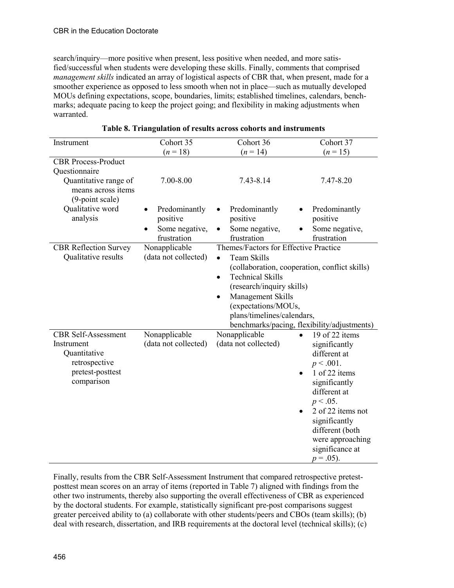search/inquiry—more positive when present, less positive when needed, and more satisfied/successful when students were developing these skills. Finally, comments that comprised *management skills* indicated an array of logistical aspects of CBR that, when present, made for a smoother experience as opposed to less smooth when not in place—such as mutually developed MOUs defining expectations, scope, boundaries, limits; established timelines, calendars, benchmarks; adequate pacing to keep the project going; and flexibility in making adjustments when warranted.

| Instrument                                                     | Cohort 35            | Cohort 36                                     | Cohort 37                                   |  |
|----------------------------------------------------------------|----------------------|-----------------------------------------------|---------------------------------------------|--|
|                                                                | $(n = 18)$           | $(n = 14)$                                    | $(n = 15)$                                  |  |
| <b>CBR Process-Product</b>                                     |                      |                                               |                                             |  |
| Questionnaire                                                  |                      |                                               |                                             |  |
| Quantitative range of<br>means across items<br>(9-point scale) | 7.00-8.00            | 7.43-8.14                                     | 7.47-8.20                                   |  |
| Qualitative word                                               | Predominantly        | Predominantly<br>$\bullet$                    | Predominantly                               |  |
| analysis                                                       | positive             | positive                                      | positive                                    |  |
|                                                                | Some negative,       | Some negative,                                | Some negative,                              |  |
|                                                                | frustration          | frustration                                   | frustration                                 |  |
| <b>CBR Reflection Survey</b>                                   | Nonapplicable        | Themes/Factors for Effective Practice         |                                             |  |
| Qualitative results                                            | (data not collected) | Team Skills<br>$\bullet$                      |                                             |  |
|                                                                |                      | (collaboration, cooperation, conflict skills) |                                             |  |
|                                                                |                      | <b>Technical Skills</b><br>$\bullet$          |                                             |  |
|                                                                |                      | (research/inquiry skills)                     |                                             |  |
|                                                                |                      | Management Skills<br>$\bullet$                |                                             |  |
|                                                                |                      | (expectations/MOUs,                           |                                             |  |
|                                                                |                      | plans/timelines/calendars,                    |                                             |  |
|                                                                |                      |                                               | benchmarks/pacing, flexibility/adjustments) |  |
| <b>CBR</b> Self-Assessment                                     | Nonapplicable        | Nonapplicable                                 | 19 of 22 items<br>$\bullet$                 |  |
| Instrument                                                     | (data not collected) | (data not collected)                          | significantly                               |  |
| Quantitative                                                   |                      |                                               | different at                                |  |
| retrospective                                                  |                      |                                               | $p < .001$ .                                |  |
| pretest-posttest                                               |                      |                                               | 1 of 22 items                               |  |
| comparison                                                     |                      |                                               | significantly                               |  |
|                                                                |                      |                                               | different at                                |  |
|                                                                |                      |                                               | $p < .05$ .                                 |  |
|                                                                |                      |                                               | 2 of 22 items not                           |  |
|                                                                |                      |                                               | significantly                               |  |
|                                                                |                      |                                               | different (both                             |  |
|                                                                |                      |                                               | were approaching                            |  |
|                                                                |                      |                                               | significance at                             |  |
|                                                                |                      |                                               | $p = .05$ ).                                |  |

|  | Table 8. Triangulation of results across cohorts and instruments |  |
|--|------------------------------------------------------------------|--|
|  |                                                                  |  |

Finally, results from the CBR Self-Assessment Instrument that compared retrospective pretestposttest mean scores on an array of items (reported in Table 7) aligned with findings from the other two instruments, thereby also supporting the overall effectiveness of CBR as experienced by the doctoral students. For example, statistically significant pre-post comparisons suggest greater perceived ability to (a) collaborate with other students/peers and CBOs (team skills); (b) deal with research, dissertation, and IRB requirements at the doctoral level (technical skills); (c)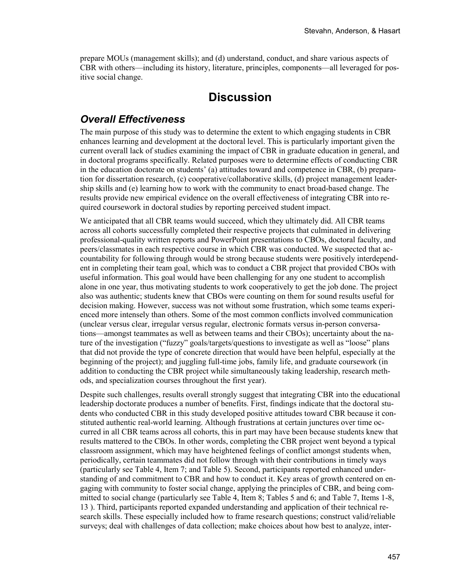prepare MOUs (management skills); and (d) understand, conduct, and share various aspects of CBR with others—including its history, literature, principles, components—all leveraged for positive social change.

## **Discussion**

### *Overall Effectiveness*

The main purpose of this study was to determine the extent to which engaging students in CBR enhances learning and development at the doctoral level. This is particularly important given the current overall lack of studies examining the impact of CBR in graduate education in general, and in doctoral programs specifically. Related purposes were to determine effects of conducting CBR in the education doctorate on students' (a) attitudes toward and competence in CBR, (b) preparation for dissertation research, (c) cooperative/collaborative skills, (d) project management leadership skills and (e) learning how to work with the community to enact broad-based change. The results provide new empirical evidence on the overall effectiveness of integrating CBR into required coursework in doctoral studies by reporting perceived student impact.

We anticipated that all CBR teams would succeed, which they ultimately did. All CBR teams across all cohorts successfully completed their respective projects that culminated in delivering professional-quality written reports and PowerPoint presentations to CBOs, doctoral faculty, and peers/classmates in each respective course in which CBR was conducted. We suspected that accountability for following through would be strong because students were positively interdependent in completing their team goal, which was to conduct a CBR project that provided CBOs with useful information. This goal would have been challenging for any one student to accomplish alone in one year, thus motivating students to work cooperatively to get the job done. The project also was authentic; students knew that CBOs were counting on them for sound results useful for decision making. However, success was not without some frustration, which some teams experienced more intensely than others. Some of the most common conflicts involved communication (unclear versus clear, irregular versus regular, electronic formats versus in-person conversations—amongst teammates as well as between teams and their CBOs); uncertainty about the nature of the investigation ("fuzzy" goals/targets/questions to investigate as well as "loose" plans that did not provide the type of concrete direction that would have been helpful, especially at the beginning of the project); and juggling full-time jobs, family life, and graduate coursework (in addition to conducting the CBR project while simultaneously taking leadership, research methods, and specialization courses throughout the first year).

Despite such challenges, results overall strongly suggest that integrating CBR into the educational leadership doctorate produces a number of benefits. First, findings indicate that the doctoral students who conducted CBR in this study developed positive attitudes toward CBR because it constituted authentic real-world learning. Although frustrations at certain junctures over time occurred in all CBR teams across all cohorts, this in part may have been because students knew that results mattered to the CBOs. In other words, completing the CBR project went beyond a typical classroom assignment, which may have heightened feelings of conflict amongst students when, periodically, certain teammates did not follow through with their contributions in timely ways (particularly see Table 4, Item 7; and Table 5). Second, participants reported enhanced understanding of and commitment to CBR and how to conduct it. Key areas of growth centered on engaging with community to foster social change, applying the principles of CBR, and being committed to social change (particularly see Table 4, Item 8; Tables 5 and 6; and Table 7, Items 1-8, 13 ). Third, participants reported expanded understanding and application of their technical research skills. These especially included how to frame research questions; construct valid/reliable surveys; deal with challenges of data collection; make choices about how best to analyze, inter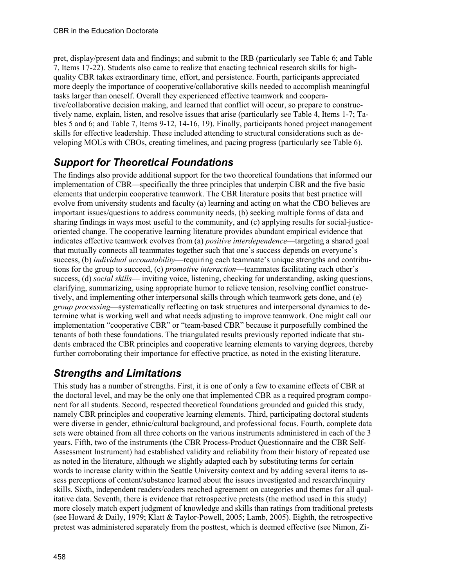pret, display/present data and findings; and submit to the IRB (particularly see Table 6; and Table 7, Items 17-22). Students also came to realize that enacting technical research skills for highquality CBR takes extraordinary time, effort, and persistence. Fourth, participants appreciated more deeply the importance of cooperative/collaborative skills needed to accomplish meaningful tasks larger than oneself. Overall they experienced effective teamwork and cooperative/collaborative decision making, and learned that conflict will occur, so prepare to constructively name, explain, listen, and resolve issues that arise (particularly see Table 4, Items 1-7; Tables 5 and 6; and Table 7, Items 9-12, 14-16, 19). Finally, participants honed project management skills for effective leadership. These included attending to structural considerations such as developing MOUs with CBOs, creating timelines, and pacing progress (particularly see Table 6).

# *Support for Theoretical Foundations*

The findings also provide additional support for the two theoretical foundations that informed our implementation of CBR—specifically the three principles that underpin CBR and the five basic elements that underpin cooperative teamwork. The CBR literature posits that best practice will evolve from university students and faculty (a) learning and acting on what the CBO believes are important issues/questions to address community needs, (b) seeking multiple forms of data and sharing findings in ways most useful to the community, and (c) applying results for social-justiceoriented change. The cooperative learning literature provides abundant empirical evidence that indicates effective teamwork evolves from (a) *positive interdependence*—targeting a shared goal that mutually connects all teammates together such that one's success depends on everyone's success, (b) *individual accountability*—requiring each teammate's unique strengths and contributions for the group to succeed, (c) *promotive interaction*—teammates facilitating each other's success, (d) *social skills*— inviting voice, listening, checking for understanding, asking questions, clarifying, summarizing, using appropriate humor to relieve tension, resolving conflict constructively, and implementing other interpersonal skills through which teamwork gets done, and (e) *group processing*—systematically reflecting on task structures and interpersonal dynamics to determine what is working well and what needs adjusting to improve teamwork. One might call our implementation "cooperative CBR" or "team-based CBR" because it purposefully combined the tenants of both these foundations. The triangulated results previously reported indicate that students embraced the CBR principles and cooperative learning elements to varying degrees, thereby further corroborating their importance for effective practice, as noted in the existing literature.

## *Strengths and Limitations*

This study has a number of strengths. First, it is one of only a few to examine effects of CBR at the doctoral level, and may be the only one that implemented CBR as a required program component for all students. Second, respected theoretical foundations grounded and guided this study, namely CBR principles and cooperative learning elements. Third, participating doctoral students were diverse in gender, ethnic/cultural background, and professional focus. Fourth, complete data sets were obtained from all three cohorts on the various instruments administered in each of the 3 years. Fifth, two of the instruments (the CBR Process-Product Questionnaire and the CBR Self-Assessment Instrument) had established validity and reliability from their history of repeated use as noted in the literature, although we slightly adapted each by substituting terms for certain words to increase clarity within the Seattle University context and by adding several items to assess perceptions of content/substance learned about the issues investigated and research/inquiry skills. Sixth, independent readers/coders reached agreement on categories and themes for all qualitative data. Seventh, there is evidence that retrospective pretests (the method used in this study) more closely match expert judgment of knowledge and skills than ratings from traditional pretests (see Howard & Daily, 1979; Klatt & Taylor-Powell, 2005; Lamb, 2005). Eighth, the retrospective pretest was administered separately from the posttest, which is deemed effective (see Nimon, Zi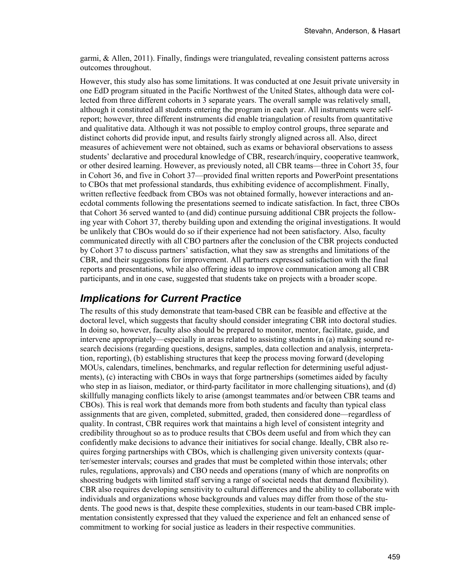garmi, & Allen, 2011). Finally, findings were triangulated, revealing consistent patterns across outcomes throughout.

However, this study also has some limitations. It was conducted at one Jesuit private university in one EdD program situated in the Pacific Northwest of the United States, although data were collected from three different cohorts in 3 separate years. The overall sample was relatively small, although it constituted all students entering the program in each year. All instruments were selfreport; however, three different instruments did enable triangulation of results from quantitative and qualitative data. Although it was not possible to employ control groups, three separate and distinct cohorts did provide input, and results fairly strongly aligned across all. Also, direct measures of achievement were not obtained, such as exams or behavioral observations to assess students' declarative and procedural knowledge of CBR, research/inquiry, cooperative teamwork, or other desired learning. However, as previously noted, all CBR teams—three in Cohort 35, four in Cohort 36, and five in Cohort 37—provided final written reports and PowerPoint presentations to CBOs that met professional standards, thus exhibiting evidence of accomplishment. Finally, written reflective feedback from CBOs was not obtained formally, however interactions and anecdotal comments following the presentations seemed to indicate satisfaction. In fact, three CBOs that Cohort 36 served wanted to (and did) continue pursuing additional CBR projects the following year with Cohort 37, thereby building upon and extending the original investigations. It would be unlikely that CBOs would do so if their experience had not been satisfactory. Also, faculty communicated directly with all CBO partners after the conclusion of the CBR projects conducted by Cohort 37 to discuss partners' satisfaction, what they saw as strengths and limitations of the CBR, and their suggestions for improvement. All partners expressed satisfaction with the final reports and presentations, while also offering ideas to improve communication among all CBR participants, and in one case, suggested that students take on projects with a broader scope.

### *Implications for Current Practice*

The results of this study demonstrate that team-based CBR can be feasible and effective at the doctoral level, which suggests that faculty should consider integrating CBR into doctoral studies. In doing so, however, faculty also should be prepared to monitor, mentor, facilitate, guide, and intervene appropriately—especially in areas related to assisting students in (a) making sound research decisions (regarding questions, designs, samples, data collection and analysis, interpretation, reporting), (b) establishing structures that keep the process moving forward (developing MOUs, calendars, timelines, benchmarks, and regular reflection for determining useful adjustments), (c) interacting with CBOs in ways that forge partnerships (sometimes aided by faculty who step in as liaison, mediator, or third-party facilitator in more challenging situations), and (d) skillfully managing conflicts likely to arise (amongst teammates and/or between CBR teams and CBOs). This is real work that demands more from both students and faculty than typical class assignments that are given, completed, submitted, graded, then considered done—regardless of quality. In contrast, CBR requires work that maintains a high level of consistent integrity and credibility throughout so as to produce results that CBOs deem useful and from which they can confidently make decisions to advance their initiatives for social change. Ideally, CBR also requires forging partnerships with CBOs, which is challenging given university contexts (quarter/semester intervals; courses and grades that must be completed within those intervals; other rules, regulations, approvals) and CBO needs and operations (many of which are nonprofits on shoestring budgets with limited staff serving a range of societal needs that demand flexibility). CBR also requires developing sensitivity to cultural differences and the ability to collaborate with individuals and organizations whose backgrounds and values may differ from those of the students. The good news is that, despite these complexities, students in our team-based CBR implementation consistently expressed that they valued the experience and felt an enhanced sense of commitment to working for social justice as leaders in their respective communities.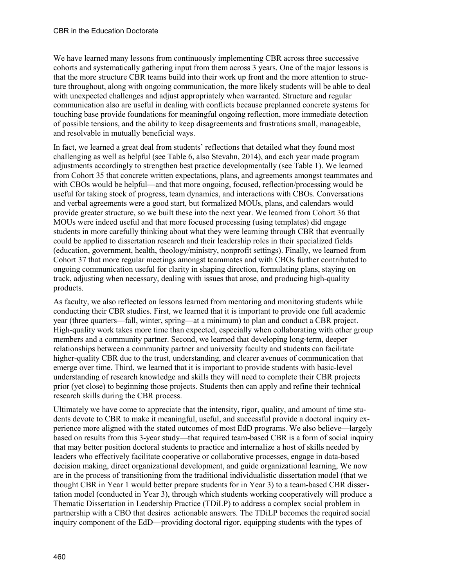We have learned many lessons from continuously implementing CBR across three successive cohorts and systematically gathering input from them across 3 years. One of the major lessons is that the more structure CBR teams build into their work up front and the more attention to structure throughout, along with ongoing communication, the more likely students will be able to deal with unexpected challenges and adjust appropriately when warranted. Structure and regular communication also are useful in dealing with conflicts because preplanned concrete systems for touching base provide foundations for meaningful ongoing reflection, more immediate detection of possible tensions, and the ability to keep disagreements and frustrations small, manageable, and resolvable in mutually beneficial ways.

In fact, we learned a great deal from students' reflections that detailed what they found most challenging as well as helpful (see Table 6, also Stevahn, 2014), and each year made program adjustments accordingly to strengthen best practice developmentally (see Table 1). We learned from Cohort 35 that concrete written expectations, plans, and agreements amongst teammates and with CBOs would be helpful—and that more ongoing, focused, reflection/processing would be useful for taking stock of progress, team dynamics, and interactions with CBOs. Conversations and verbal agreements were a good start, but formalized MOUs, plans, and calendars would provide greater structure, so we built these into the next year. We learned from Cohort 36 that MOUs were indeed useful and that more focused processing (using templates) did engage students in more carefully thinking about what they were learning through CBR that eventually could be applied to dissertation research and their leadership roles in their specialized fields (education, government, health, theology/ministry, nonprofit settings). Finally, we learned from Cohort 37 that more regular meetings amongst teammates and with CBOs further contributed to ongoing communication useful for clarity in shaping direction, formulating plans, staying on track, adjusting when necessary, dealing with issues that arose, and producing high-quality products.

As faculty, we also reflected on lessons learned from mentoring and monitoring students while conducting their CBR studies. First, we learned that it is important to provide one full academic year (three quarters—fall, winter, spring—at a minimum) to plan and conduct a CBR project. High-quality work takes more time than expected, especially when collaborating with other group members and a community partner. Second, we learned that developing long-term, deeper relationships between a community partner and university faculty and students can facilitate higher-quality CBR due to the trust, understanding, and clearer avenues of communication that emerge over time. Third, we learned that it is important to provide students with basic-level understanding of research knowledge and skills they will need to complete their CBR projects prior (yet close) to beginning those projects. Students then can apply and refine their technical research skills during the CBR process.

Ultimately we have come to appreciate that the intensity, rigor, quality, and amount of time students devote to CBR to make it meaningful, useful, and successful provide a doctoral inquiry experience more aligned with the stated outcomes of most EdD programs. We also believe—largely based on results from this 3-year study—that required team-based CBR is a form of social inquiry that may better position doctoral students to practice and internalize a host of skills needed by leaders who effectively facilitate cooperative or collaborative processes, engage in data-based decision making, direct organizational development, and guide organizational learning, We now are in the process of transitioning from the traditional individualistic dissertation model (that we thought CBR in Year 1 would better prepare students for in Year 3) to a team-based CBR dissertation model (conducted in Year 3), through which students working cooperatively will produce a Thematic Dissertation in Leadership Practice (TDiLP) to address a complex social problem in partnership with a CBO that desires actionable answers. The TDiLP becomes the required social inquiry component of the EdD—providing doctoral rigor, equipping students with the types of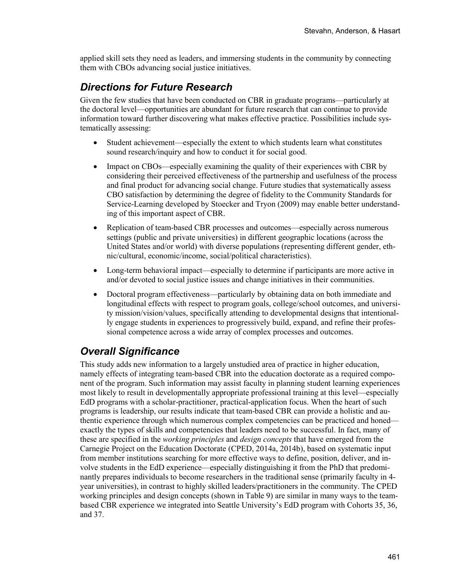applied skill sets they need as leaders, and immersing students in the community by connecting them with CBOs advancing social justice initiatives.

### *Directions for Future Research*

Given the few studies that have been conducted on CBR in graduate programs—particularly at the doctoral level—opportunities are abundant for future research that can continue to provide information toward further discovering what makes effective practice. Possibilities include systematically assessing:

- Student achievement—especially the extent to which students learn what constitutes sound research/inquiry and how to conduct it for social good.
- Impact on CBOs—especially examining the quality of their experiences with CBR by considering their perceived effectiveness of the partnership and usefulness of the process and final product for advancing social change. Future studies that systematically assess CBO satisfaction by determining the degree of fidelity to the Community Standards for Service-Learning developed by Stoecker and Tryon (2009) may enable better understanding of this important aspect of CBR.
- Replication of team-based CBR processes and outcomes—especially across numerous settings (public and private universities) in different geographic locations (across the United States and/or world) with diverse populations (representing different gender, ethnic/cultural, economic/income, social/political characteristics).
- Long-term behavioral impact—especially to determine if participants are more active in and/or devoted to social justice issues and change initiatives in their communities.
- Doctoral program effectiveness—particularly by obtaining data on both immediate and longitudinal effects with respect to program goals, college/school outcomes, and university mission/vision/values, specifically attending to developmental designs that intentionally engage students in experiences to progressively build, expand, and refine their professional competence across a wide array of complex processes and outcomes.

## *Overall Significance*

This study adds new information to a largely unstudied area of practice in higher education, namely effects of integrating team-based CBR into the education doctorate as a required component of the program. Such information may assist faculty in planning student learning experiences most likely to result in developmentally appropriate professional training at this level—especially EdD programs with a scholar-practitioner, practical-application focus. When the heart of such programs is leadership, our results indicate that team-based CBR can provide a holistic and authentic experience through which numerous complex competencies can be practiced and honed exactly the types of skills and competencies that leaders need to be successful. In fact, many of these are specified in the *working principles* and *design concepts* that have emerged from the Carnegie Project on the Education Doctorate (CPED, 2014a, 2014b), based on systematic input from member institutions searching for more effective ways to define, position, deliver, and involve students in the EdD experience—especially distinguishing it from the PhD that predominantly prepares individuals to become researchers in the traditional sense (primarily faculty in 4 year universities), in contrast to highly skilled leaders/practitioners in the community. The CPED working principles and design concepts (shown in Table 9) are similar in many ways to the teambased CBR experience we integrated into Seattle University's EdD program with Cohorts 35, 36, and 37.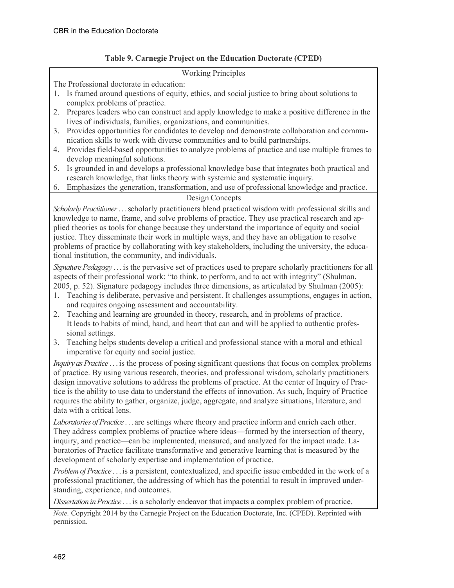#### **Table 9. Carnegie Project on the Education Doctorate (CPED)**

#### Working Principles

The Professional doctorate in education:

- 1. Is framed around questions of equity, ethics, and social justice to bring about solutions to complex problems of practice.
- 2. Prepares leaders who can construct and apply knowledge to make a positive difference in the lives of individuals, families, organizations, and communities.
- 3. Provides opportunities for candidates to develop and demonstrate collaboration and communication skills to work with diverse communities and to build partnerships.
- 4. Provides field-based opportunities to analyze problems of practice and use multiple frames to develop meaningful solutions.
- 5. Is grounded in and develops a professional knowledge base that integrates both practical and research knowledge, that links theory with systemic and systematic inquiry.
- 6. Emphasizes the generation, transformation, and use of professional knowledge and practice.

#### Design Concepts

*Scholarly Practitioner* . . .scholarly practitioners blend practical wisdom with professional skills and knowledge to name, frame, and solve problems of practice. They use practical research and applied theories as tools for change because they understand the importance of equity and social justice. They disseminate their work in multiple ways, and they have an obligation to resolve problems of practice by collaborating with key stakeholders, including the university, the educational institution, the community, and individuals.

*Signature Pedagogy* . . . is the pervasive set of practices used to prepare scholarly practitioners for all aspects of their professional work: "to think, to perform, and to act with integrity" (Shulman, 2005, p. 52). Signature pedagogy includes three dimensions, as articulated by Shulman (2005):

- 1. Teaching is deliberate, pervasive and persistent. It challenges assumptions, engages in action, and requires ongoing assessment and accountability.
- 2. Teaching and learning are grounded in theory, research, and in problems of practice. It leads to habits of mind, hand, and heart that can and will be applied to authentic professional settings.
- 3. Teaching helps students develop a critical and professional stance with a moral and ethical imperative for equity and social justice.

*Inquiry as Practice* . . . is the process of posing significant questions that focus on complex problems of practice. By using various research, theories, and professional wisdom, scholarly practitioners design innovative solutions to address the problems of practice. At the center of Inquiry of Practice is the ability to use data to understand the effects of innovation. As such, Inquiry of Practice requires the ability to gather, organize, judge, aggregate, and analyze situations, literature, and data with a critical lens.

*Laboratories of Practice* . . . are settings where theory and practice inform and enrich each other. They address complex problems of practice where ideas—formed by the intersection of theory, inquiry, and practice—can be implemented, measured, and analyzed for the impact made. Laboratories of Practice facilitate transformative and generative learning that is measured by the development of scholarly expertise and implementation of practice.

*Problem of Practice* . . .is a persistent, contextualized, and specific issue embedded in the work of a professional practitioner, the addressing of which has the potential to result in improved understanding, experience, and outcomes.

*Dissertation in Practice* . . . is a scholarly endeavor that impacts a complex problem of practice.

*Note.* Copyright 2014 by the Carnegie Project on the Education Doctorate, Inc. (CPED). Reprinted with permission.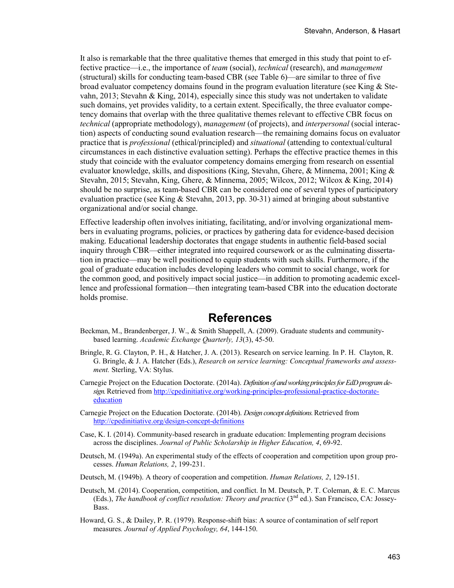It also is remarkable that the three qualitative themes that emerged in this study that point to effective practice—i.e., the importance of *team* (social), *technical* (research), and *management* (structural) skills for conducting team-based CBR (see Table 6)—are similar to three of five broad evaluator competency domains found in the program evaluation literature (see King & Stevahn, 2013; Stevahn & King, 2014), especially since this study was not undertaken to validate such domains, yet provides validity, to a certain extent. Specifically, the three evaluator competency domains that overlap with the three qualitative themes relevant to effective CBR focus on *technical* (appropriate methodology), *management* (of projects), and *interpersonal* (social interaction) aspects of conducting sound evaluation research—the remaining domains focus on evaluator practice that is *professional* (ethical/principled) and *situational* (attending to contextual/cultural circumstances in each distinctive evaluation setting). Perhaps the effective practice themes in this study that coincide with the evaluator competency domains emerging from research on essential evaluator knowledge, skills, and dispositions (King, Stevahn, Ghere, & Minnema, 2001; King & Stevahn, 2015; Stevahn, King, Ghere, & Minnema, 2005; Wilcox, 2012; Wilcox & King, 2014) should be no surprise, as team-based CBR can be considered one of several types of participatory evaluation practice (see King & Stevahn, 2013, pp. 30-31) aimed at bringing about substantive organizational and/or social change.

Effective leadership often involves initiating, facilitating, and/or involving organizational members in evaluating programs, policies, or practices by gathering data for evidence-based decision making. Educational leadership doctorates that engage students in authentic field-based social inquiry through CBR—either integrated into required coursework or as the culminating dissertation in practice—may be well positioned to equip students with such skills. Furthermore, if the goal of graduate education includes developing leaders who commit to social change, work for the common good, and positively impact social justice—in addition to promoting academic excellence and professional formation—then integrating team-based CBR into the education doctorate holds promise.

# **References**

- Beckman, M., Brandenberger, J. W., & Smith Shappell, A. (2009). Graduate students and communitybased learning. *Academic Exchange Quarterly, 13*(3), 45-50.
- Bringle, R. G. Clayton, P. H., & Hatcher, J. A. (2013). Research on service learning. In P. H. Clayton, R. G. Bringle, & J. A. Hatcher (Eds.), *Research on service learning: Conceptual frameworks and assessment.* Sterling, VA: Stylus.
- Carnegie Project on the Education Doctorate. (2014a). *Definition of and working principles for EdD program design.*Retrieved from [http://cpedinitiative.org/working-principles-professional-practice-doctorate](http://cpedinitiative.org/working-principles-professional-practice-doctorate-education)[education](http://cpedinitiative.org/working-principles-professional-practice-doctorate-education)
- Carnegie Project on the Education Doctorate. (2014b). *Design concept definitions.*Retrieved from <http://cpedinitiative.org/design-concept-definitions>
- Case, K. I. (2014). Community-based research in graduate education: Implementing program decisions across the disciplines. *Journal of Public Scholarship in Higher Education, 4*, 69-92.
- Deutsch, M. (1949a). An experimental study of the effects of cooperation and competition upon group processes. *Human Relations, 2*, 199-231.
- Deutsch, M. (1949b). A theory of cooperation and competition. *Human Relations, 2*, 129-151.
- Deutsch, M. (2014). Cooperation, competition, and conflict. In M. Deutsch, P. T. Coleman, & E. C. Marcus (Eds.), *The handbook of conflict resolution: Theory and practice* (3<sup>nd</sup> ed.). San Francisco, CA: Jossey-Bass.
- Howard, G. S., & Dailey, P. R. (1979). Response-shift bias: A source of contamination of self report measures*. Journal of Applied Psychology, 64*, 144-150.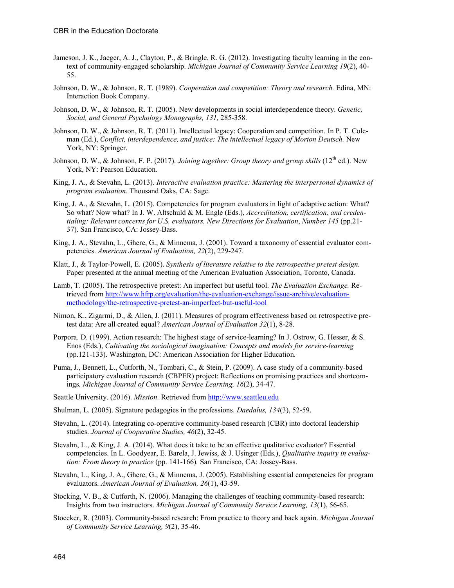- Jameson, J. K., Jaeger, A. J., Clayton, P., & Bringle, R. G. (2012). Investigating faculty learning in the context of community-engaged scholarship. *Michigan Journal of Community Service Learning 19*(2), 40- 55.
- Johnson, D. W., & Johnson, R. T. (1989). *Cooperation and competition: Theory and research.* Edina, MN: Interaction Book Company.
- Johnson, D. W., & Johnson, R. T. (2005). New developments in social interdependence theory. *Genetic, Social, and General Psychology Monographs, 131,* 285-358.
- Johnson, D. W., & Johnson, R. T. (2011). Intellectual legacy: Cooperation and competition. In P. T. Coleman (Ed.), *Conflict, interdependence, and justice: The intellectual legacy of Morton Deutsch.* New York, NY: Springer.
- Johnson, D. W., & Johnson, F. P. (2017). *Joining together: Group theory and group skills* (12<sup>th</sup> ed.). New York, NY: Pearson Education.
- King, J. A., & Stevahn, L. (2013). *Interactive evaluation practice: Mastering the interpersonal dynamics of program evaluation.* Thousand Oaks, CA: Sage.
- King, J. A., & Stevahn, L. (2015). Competencies for program evaluators in light of adaptive action: What? So what? Now what? In J. W. Altschuld & M. Engle (Eds.), *Accreditation, certification, and credentialing: Relevant concerns for U.S. evaluators. New Directions for Evaluation*, *Number 145* (pp.21- 37). San Francisco, CA: Jossey-Bass.
- King, J. A., Stevahn, L., Ghere, G., & Minnema, J. (2001). Toward a taxonomy of essential evaluator competencies. *American Journal of Evaluation, 22*(2), 229-247.
- Klatt, J., & Taylor-Powell, E. (2005). *Synthesis of literature relative to the retrospective pretest design.* Paper presented at the annual meeting of the American Evaluation Association, Toronto, Canada.
- Lamb, T. (2005). The retrospective pretest: An imperfect but useful tool. *The Evaluation Exchange.* Retrieved from [http://www.hfrp.org/evaluation/the-evaluation-exchange/issue-archive/evaluation](http://www.hfrp.org/evaluation/the-evaluation-exchange/issue-archive/evaluation-methodology/the-retrospective-pretest-an-imperfect-but-useful-tool)[methodology/the-retrospective-pretest-an-imperfect-but-useful-tool](http://www.hfrp.org/evaluation/the-evaluation-exchange/issue-archive/evaluation-methodology/the-retrospective-pretest-an-imperfect-but-useful-tool)
- Nimon, K., Zigarmi, D., & Allen, J. (2011). Measures of program effectiveness based on retrospective pretest data: Are all created equal? *American Journal of Evaluation 32*(1), 8-28.
- Porpora. D. (1999). Action research: The highest stage of service-learning? In J. Ostrow, G. Hesser, & S. Enos (Eds.), *Cultivating the sociological imagination: Concepts and models for service-learning* (pp.121-133). Washington, DC: American Association for Higher Education.
- Puma, J., Bennett, L., Cutforth, N., Tombari, C., & Stein, P. (2009). A case study of a community-based participatory evaluation research (CBPER) project: Reflections on promising practices and shortcomings*. Michigan Journal of Community Service Learning, 16*(2), 34-47.
- Seattle University. (2016). *Mission.* Retrieved fro[m http://www.seattleu.edu](http://www.seattleu.edu/)
- Shulman, L. (2005). Signature pedagogies in the professions. *Daedalus, 134*(3), 52-59.
- Stevahn, L. (2014). Integrating co-operative community-based research (CBR) into doctoral leadership studies. *Journal of Cooperative Studies, 46*(2), 32-45.
- Stevahn, L., & King, J. A. (2014). What does it take to be an effective qualitative evaluator? Essential competencies. In L. Goodyear, E. Barela, J. Jewiss, & J. Usinger (Eds.), *Qualitative inquiry in evaluation: From theory to practice* (pp. 141-166)*.* San Francisco, CA: Jossey-Bass.
- Stevahn, L., King, J. A., Ghere, G., & Minnema, J. (2005). Establishing essential competencies for program evaluators. *American Journal of Evaluation, 26*(1), 43-59.
- Stocking, V. B., & Cutforth, N. (2006). Managing the challenges of teaching community-based research: Insights from two instructors. *Michigan Journal of Community Service Learning, 13*(1), 56-65.
- Stoecker, R. (2003). Community-based research: From practice to theory and back again. *Michigan Journal of Community Service Learning, 9*(2), 35-46.